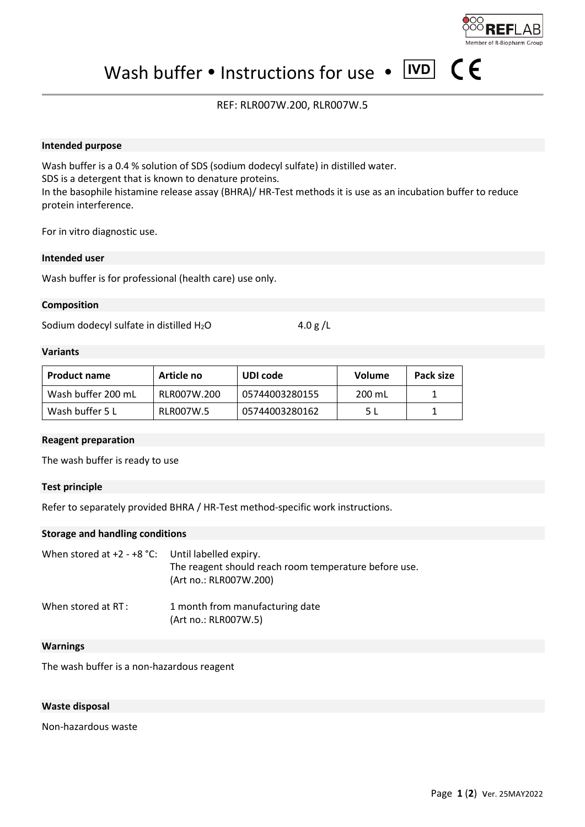Wash buffer  $\bullet$  Instructions for use  $\bullet$  IVD

REF: RLR007W.200, RLR007W.5

## **Intended purpose**

Wash buffer is a 0.4 % solution of SDS (sodium dodecyl sulfate) in distilled water. SDS is a detergent that is known to denature proteins. In the basophile histamine release assay (BHRA)/ HR-Test methods it is use as an incubation buffer to reduce protein interference.

For in vitro diagnostic use.

## **Intended user**

Wash buffer is for professional (health care) use only.

#### **Composition**

Sodium dodecyl sulfate in distilled  $H_2O$  4.0 g/L

#### **Variants**

| <b>Product name</b> | Article no  | UDI code       | <b>Volume</b> | Pack size |
|---------------------|-------------|----------------|---------------|-----------|
| Wash buffer 200 mL  | RLR007W.200 | 05744003280155 | 200 mL        |           |
| Wash buffer 5 L     | RLR007W.5   | 05744003280162 | 5 I           |           |

#### **Reagent preparation**

The wash buffer is ready to use

## **Test principle**

Refer to separately provided BHRA / HR-Test method-specific work instructions.

## **Storage and handling conditions**

| When stored at $+2 - +8$ °C: Until labelled expiry. | The reagent should reach room temperature before use.<br>(Art no.: RLR007W.200) |  |
|-----------------------------------------------------|---------------------------------------------------------------------------------|--|
| When stored at RT:                                  | 1 month from manufacturing date<br>(Art no.: RLR007W.5)                         |  |

#### **Warnings**

The wash buffer is a non-hazardous reagent

## **Waste disposal**

Non-hazardous waste

**R-Biopharm Group** 

 $\epsilon$